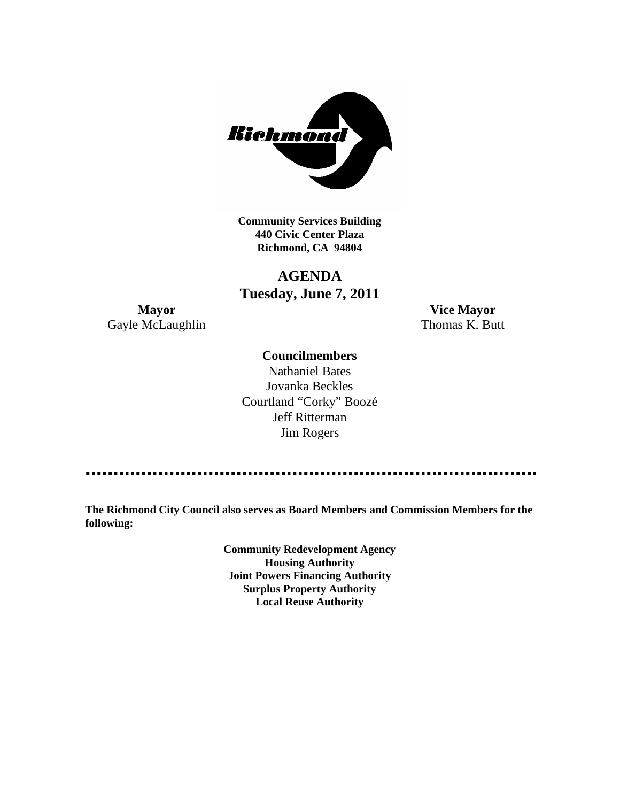

**Community Services Building 440 Civic Center Plaza Richmond, CA 94804**

# **AGENDA Tuesday, June 7, 2011**

**Mayor Vice Mayor** Gayle McLaughlin Thomas K. Butt

# **Councilmembers**

Nathaniel Bates Jovanka Beckles Courtland "Corky" Boozé Jeff Ritterman Jim Rogers

**The Richmond City Council also serves as Board Members and Commission Members for the following:**

> **Community Redevelopment Agency Housing Authority Joint Powers Financing Authority Surplus Property Authority Local Reuse Authority**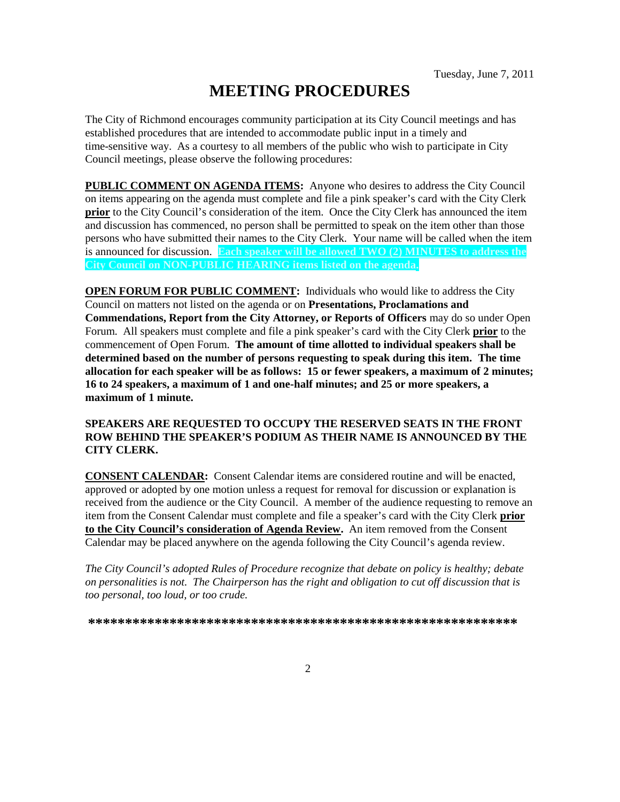# **MEETING PROCEDURES**

The City of Richmond encourages community participation at its City Council meetings and has established procedures that are intended to accommodate public input in a timely and time-sensitive way. As a courtesy to all members of the public who wish to participate in City Council meetings, please observe the following procedures:

**PUBLIC COMMENT ON AGENDA ITEMS:** Anyone who desires to address the City Council on items appearing on the agenda must complete and file a pink speaker's card with the City Clerk **prior** to the City Council's consideration of the item. Once the City Clerk has announced the item and discussion has commenced, no person shall be permitted to speak on the item other than those persons who have submitted their names to the City Clerk. Your name will be called when the item is announced for discussion. **Each speaker will be allowed TWO (2) MINUTES to address the City Council on NON-PUBLIC HEARING items listed on the agenda.**

**OPEN FORUM FOR PUBLIC COMMENT:** Individuals who would like to address the City Council on matters not listed on the agenda or on **Presentations, Proclamations and Commendations, Report from the City Attorney, or Reports of Officers** may do so under Open Forum. All speakers must complete and file a pink speaker's card with the City Clerk **prior** to the commencement of Open Forum. **The amount of time allotted to individual speakers shall be determined based on the number of persons requesting to speak during this item. The time allocation for each speaker will be as follows: 15 or fewer speakers, a maximum of 2 minutes; 16 to 24 speakers, a maximum of 1 and one-half minutes; and 25 or more speakers, a maximum of 1 minute.**

## **SPEAKERS ARE REQUESTED TO OCCUPY THE RESERVED SEATS IN THE FRONT ROW BEHIND THE SPEAKER'S PODIUM AS THEIR NAME IS ANNOUNCED BY THE CITY CLERK.**

**CONSENT CALENDAR:** Consent Calendar items are considered routine and will be enacted, approved or adopted by one motion unless a request for removal for discussion or explanation is received from the audience or the City Council. A member of the audience requesting to remove an item from the Consent Calendar must complete and file a speaker's card with the City Clerk **prior to the City Council's consideration of Agenda Review.** An item removed from the Consent Calendar may be placed anywhere on the agenda following the City Council's agenda review.

*The City Council's adopted Rules of Procedure recognize that debate on policy is healthy; debate on personalities is not. The Chairperson has the right and obligation to cut off discussion that is too personal, too loud, or too crude.*

**\*\*\*\*\*\*\*\*\*\*\*\*\*\*\*\*\*\*\*\*\*\*\*\*\*\*\*\*\*\*\*\*\*\*\*\*\*\*\*\*\*\*\*\*\*\*\*\*\*\*\*\*\*\*\*\*\*\***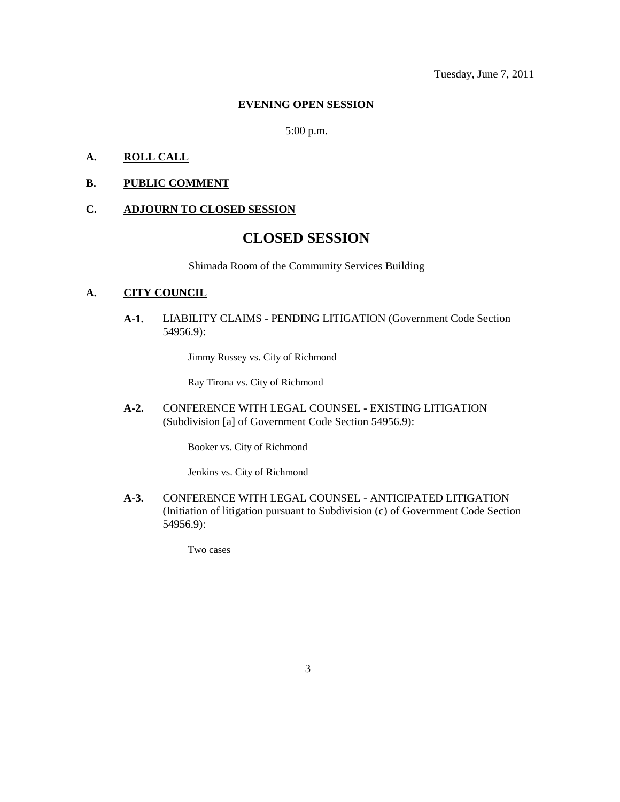Tuesday, June 7, 2011

#### **EVENING OPEN SESSION**

5:00 p.m.

### **A. ROLL CALL**

### **B. PUBLIC COMMENT**

#### **C. ADJOURN TO CLOSED SESSION**

# **CLOSED SESSION**

Shimada Room of the Community Services Building

# **A. CITY COUNCIL**

**A-1.** LIABILITY CLAIMS - PENDING LITIGATION (Government Code Section 54956.9):

Jimmy Russey vs. City of Richmond

Ray Tirona vs. City of Richmond

**A-2.** CONFERENCE WITH LEGAL COUNSEL - EXISTING LITIGATION (Subdivision [a] of Government Code Section 54956.9):

Booker vs. City of Richmond

Jenkins vs. City of Richmond

**A-3.** CONFERENCE WITH LEGAL COUNSEL - ANTICIPATED LITIGATION (Initiation of litigation pursuant to Subdivision (c) of Government Code Section 54956.9):

Two cases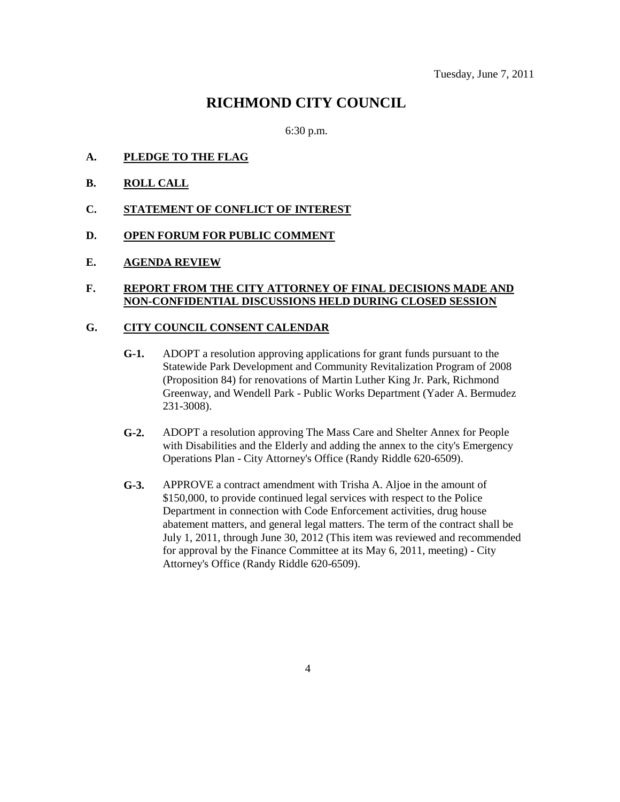# **RICHMOND CITY COUNCIL**

6:30 p.m.

- **A. PLEDGE TO THE FLAG**
- **B. ROLL CALL**
- **C. STATEMENT OF CONFLICT OF INTEREST**
- **D. OPEN FORUM FOR PUBLIC COMMENT**
- **E. AGENDA REVIEW**

# **F. REPORT FROM THE CITY ATTORNEY OF FINAL DECISIONS MADE AND NON-CONFIDENTIAL DISCUSSIONS HELD DURING CLOSED SESSION**

### **G. CITY COUNCIL CONSENT CALENDAR**

- **G-1.** ADOPT a resolution approving applications for grant funds pursuant to the Statewide Park Development and Community Revitalization Program of 2008 (Proposition 84) for renovations of Martin Luther King Jr. Park, Richmond Greenway, and Wendell Park - Public Works Department (Yader A. Bermudez 231-3008).
- **G-2.** ADOPT a resolution approving The Mass Care and Shelter Annex for People with Disabilities and the Elderly and adding the annex to the city's Emergency Operations Plan - City Attorney's Office (Randy Riddle 620-6509).
- **G-3.** APPROVE a contract amendment with Trisha A. Aljoe in the amount of \$150,000, to provide continued legal services with respect to the Police Department in connection with Code Enforcement activities, drug house abatement matters, and general legal matters. The term of the contract shall be July 1, 2011, through June 30, 2012 (This item was reviewed and recommended for approval by the Finance Committee at its May 6, 2011, meeting) - City Attorney's Office (Randy Riddle 620-6509).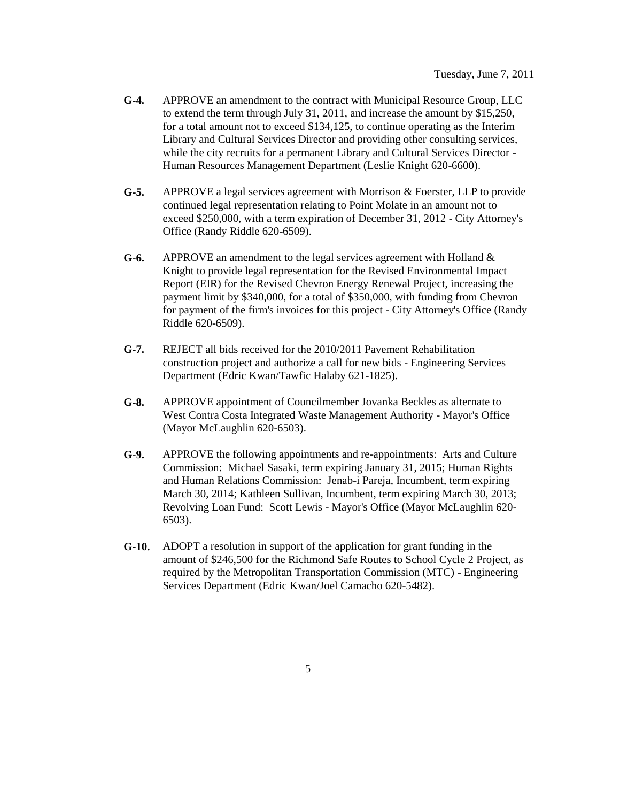- **G-4.** APPROVE an amendment to the contract with Municipal Resource Group, LLC to extend the term through July 31, 2011, and increase the amount by \$15,250, for a total amount not to exceed \$134,125, to continue operating as the Interim Library and Cultural Services Director and providing other consulting services, while the city recruits for a permanent Library and Cultural Services Director - Human Resources Management Department (Leslie Knight 620-6600).
- **G-5.** APPROVE a legal services agreement with Morrison & Foerster, LLP to provide continued legal representation relating to Point Molate in an amount not to exceed \$250,000, with a term expiration of December 31, 2012 - City Attorney's Office (Randy Riddle 620-6509).
- **G-6.** APPROVE an amendment to the legal services agreement with Holland & Knight to provide legal representation for the Revised Environmental Impact Report (EIR) for the Revised Chevron Energy Renewal Project, increasing the payment limit by \$340,000, for a total of \$350,000, with funding from Chevron for payment of the firm's invoices for this project - City Attorney's Office (Randy Riddle 620-6509).
- **G-7.** REJECT all bids received for the 2010/2011 Pavement Rehabilitation construction project and authorize a call for new bids - Engineering Services Department (Edric Kwan/Tawfic Halaby 621-1825).
- **G-8.** APPROVE appointment of Councilmember Jovanka Beckles as alternate to West Contra Costa Integrated Waste Management Authority - Mayor's Office (Mayor McLaughlin 620-6503).
- **G-9.** APPROVE the following appointments and re-appointments: Arts and Culture Commission: Michael Sasaki, term expiring January 31, 2015; Human Rights and Human Relations Commission: Jenab-i Pareja, Incumbent, term expiring March 30, 2014; Kathleen Sullivan, Incumbent, term expiring March 30, 2013; Revolving Loan Fund: Scott Lewis - Mayor's Office (Mayor McLaughlin 620- 6503).
- **G-10.** ADOPT a resolution in support of the application for grant funding in the amount of \$246,500 for the Richmond Safe Routes to School Cycle 2 Project, as required by the Metropolitan Transportation Commission (MTC) - Engineering Services Department (Edric Kwan/Joel Camacho 620-5482).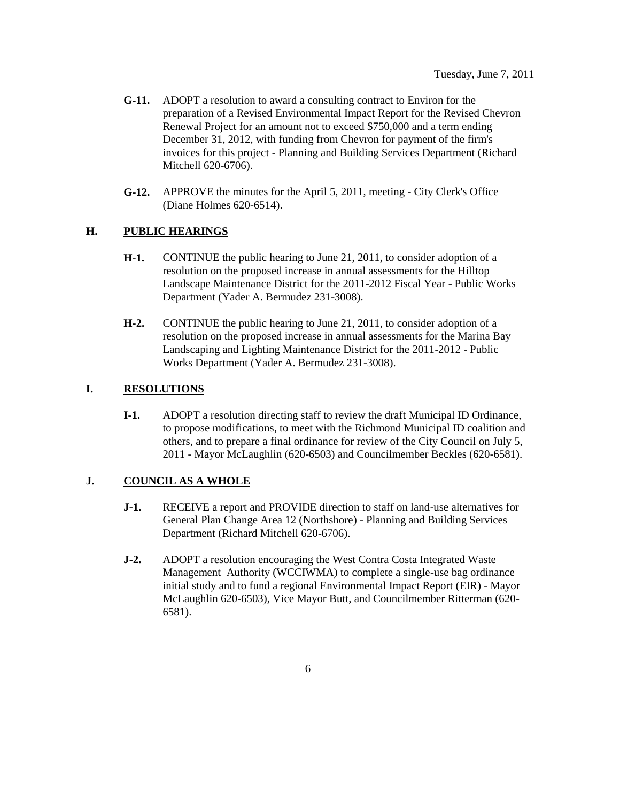- **G-11.** ADOPT a resolution to award a consulting contract to Environ for the preparation of a Revised Environmental Impact Report for the Revised Chevron Renewal Project for an amount not to exceed \$750,000 and a term ending December 31, 2012, with funding from Chevron for payment of the firm's invoices for this project - Planning and Building Services Department (Richard Mitchell 620-6706).
- **G-12.** APPROVE the minutes for the April 5, 2011, meeting City Clerk's Office (Diane Holmes 620-6514).

## **H. PUBLIC HEARINGS**

- **H-1.** CONTINUE the public hearing to June 21, 2011, to consider adoption of a resolution on the proposed increase in annual assessments for the Hilltop Landscape Maintenance District for the 2011-2012 Fiscal Year - Public Works Department (Yader A. Bermudez 231-3008).
- **H-2.** CONTINUE the public hearing to June 21, 2011, to consider adoption of a resolution on the proposed increase in annual assessments for the Marina Bay Landscaping and Lighting Maintenance District for the 2011-2012 - Public Works Department (Yader A. Bermudez 231-3008).

# **I. RESOLUTIONS**

**I-1.** ADOPT a resolution directing staff to review the draft Municipal ID Ordinance, to propose modifications, to meet with the Richmond Municipal ID coalition and others, and to prepare a final ordinance for review of the City Council on July 5, 2011 - Mayor McLaughlin (620-6503) and Councilmember Beckles (620-6581).

# **J. COUNCIL AS A WHOLE**

- **J-1.** RECEIVE a report and PROVIDE direction to staff on land-use alternatives for General Plan Change Area 12 (Northshore) - Planning and Building Services Department (Richard Mitchell 620-6706).
- **J-2.** ADOPT a resolution encouraging the West Contra Costa Integrated Waste Management Authority (WCCIWMA) to complete a single-use bag ordinance initial study and to fund a regional Environmental Impact Report (EIR) - Mayor McLaughlin 620-6503), Vice Mayor Butt, and Councilmember Ritterman (620- 6581).